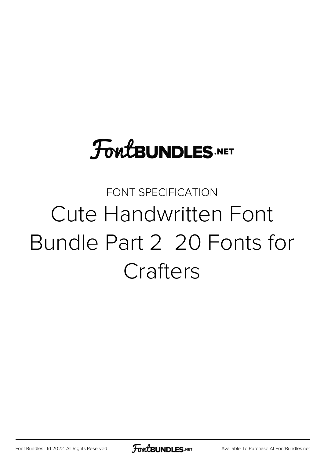# **FoutBUNDLES.NET**

# FONT SPECIFICATION Cute Handwritten Font Bundle Part 2 20 Fonts for Crafters

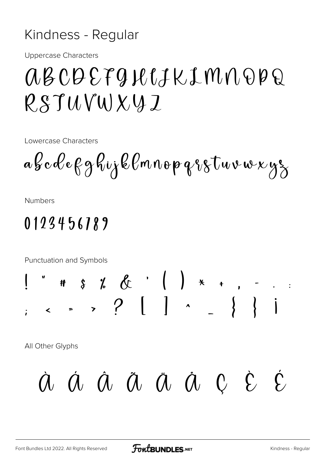#### Kindness - Regular

**Uppercase Characters** 

# *abcocrguttkimnopQ*  $R.SJUVWXYJ$

Lowercase Characters

 $a\&c\&e\&g\&v\&e\&m\&p\&v\&t\&w\&w\&y\}$ 

**Numbers** 

#### 0123456789

Punctuation and Symbols " #  $\int$   $\int$   $\int$   $\int$   $\int$   $\int$   $\frac{1}{1}$   $\frac{1}{1}$   $\frac{1}{1}$   $\frac{1}{1}$   $\frac{1}{1}$   $\frac{1}{1}$   $\frac{1}{1}$   $\frac{1}{1}$   $\frac{1}{1}$   $\frac{1}{1}$   $\frac{1}{1}$   $\frac{1}{1}$   $\frac{1}{1}$   $\frac{1}{1}$   $\frac{1}{1}$   $\frac{1}{1}$   $\frac{1}{1}$   $\frac{1}{1}$   $\frac{1}{1$  $\overline{\mathsf{I}}$ 

$$
\dot{a} \quad \dot{a} \quad \dot{a} \quad \ddot{a} \quad \ddot{a} \quad \ddot{a} \quad \dot{b} \quad \dot{c} \quad \dot{\epsilon}
$$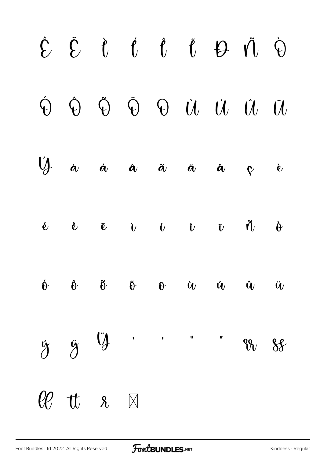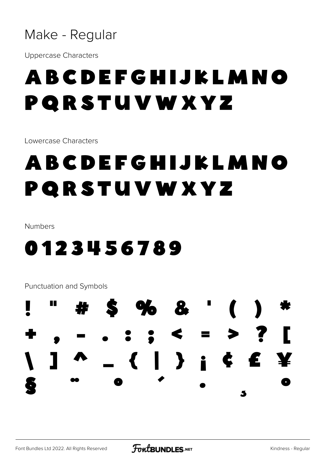#### Make - Regular

**Uppercase Characters** 

# ABCDEFGHIJKLMNO **PQRSTUVWXYZ**

Lowercase Characters

# ABCDEFGHIJKLMNO PQRSTUVWXYZ

Numbers

#### 0 1 2 3 4 5 6 7 8 9

Punctuation and Symbols

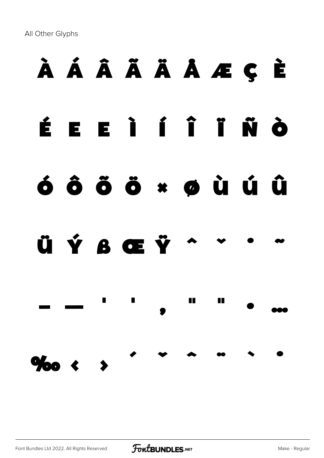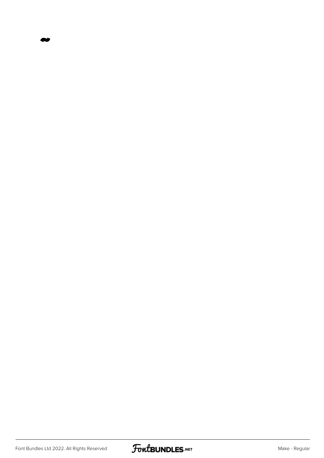

 $\overline{a}$ 

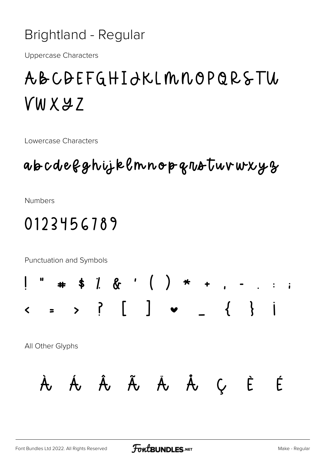#### **Brightland - Regular**

**Uppercase Characters** 

## ABCDEFGHIJKLMNOPQRSTU VWXYZ

Lowercase Characters

#### abcdegghijklmnopquotuvuxyz

**Numbers** 

#### 0123456789

Punctuation and Symbols

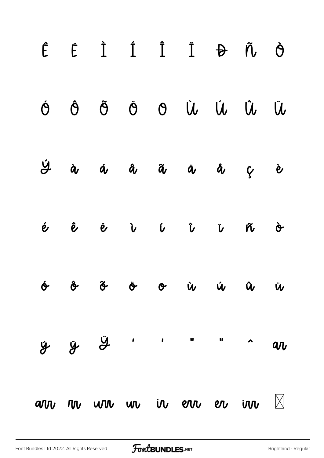|                      | $\hat{E}$ $\dot{E}$ $\dot{I}$ $\dot{I}$ $\dot{I}$ $\theta$ $\tilde{n}$ $\dot{\theta}$                                                                                                                                                                                                                                                                                                                                            |  |  |                            |  |
|----------------------|----------------------------------------------------------------------------------------------------------------------------------------------------------------------------------------------------------------------------------------------------------------------------------------------------------------------------------------------------------------------------------------------------------------------------------|--|--|----------------------------|--|
| $\dot{\theta}$       | $\begin{matrix} \mathbf{0} & \mathbf{0} & \mathbf{0} & \mathbf{0} & \mathbf{0} & \mathbf{0} & \mathbf{0} & \mathbf{0} & \mathbf{0} & \mathbf{0} & \mathbf{0} & \mathbf{0} & \mathbf{0} & \mathbf{0} & \mathbf{0} & \mathbf{0} & \mathbf{0} & \mathbf{0} & \mathbf{0} & \mathbf{0} & \mathbf{0} & \mathbf{0} & \mathbf{0} & \mathbf{0} & \mathbf{0} & \mathbf{0} & \mathbf{0} & \mathbf{0} & \mathbf{0} & \mathbf{0} & \mathbf{0$ |  |  |                            |  |
|                      | $\dot{\mathcal{Y}}$ à á â ã å å ç è                                                                                                                                                                                                                                                                                                                                                                                              |  |  |                            |  |
| $\acute{\textbf{e}}$ | $\hat{e}$ $\hat{e}$ $\hat{v}$ $\hat{v}$ $\hat{v}$ $\hat{v}$                                                                                                                                                                                                                                                                                                                                                                      |  |  | $\tilde{n}$ $\dot{\sigma}$ |  |
|                      | Ó Ô Õ Ö O Ù Ú Û Ü                                                                                                                                                                                                                                                                                                                                                                                                                |  |  |                            |  |
|                      | $\ddot{y}$ $\ddot{y}$ $\ddot{y}$ are                                                                                                                                                                                                                                                                                                                                                                                             |  |  |                            |  |
|                      | an m an in en en in $\boxtimes$                                                                                                                                                                                                                                                                                                                                                                                                  |  |  |                            |  |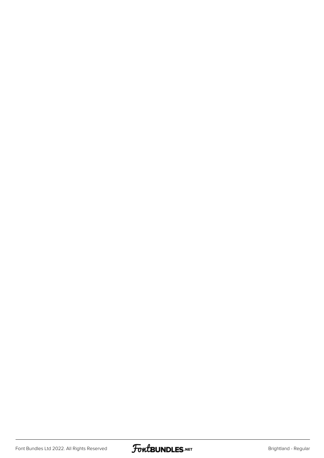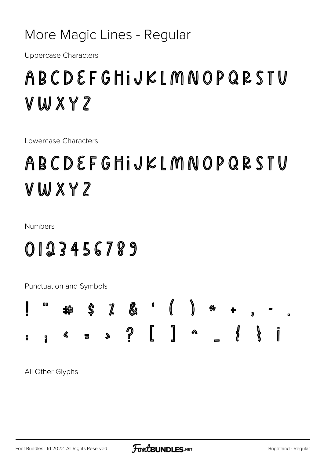#### More Magic Lines - Regular

**Uppercase Characters** 

# ABCDEFGHIJKLMNOPQRSTU VWXYZ

Lowercase Characters

# ABCDEFGHIJKLMNOPQRSTU VWXYZ

**Numbers** 

#### 0123456789

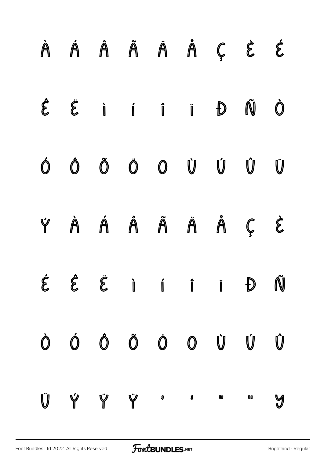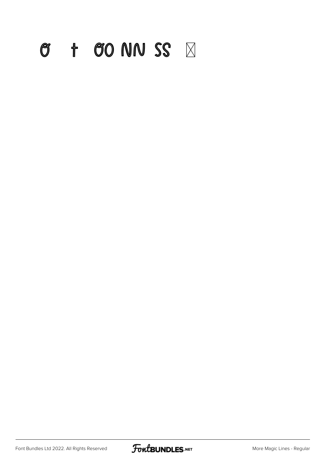#### $\sigma$  +  $\sigma$ o nn ss  $\boxtimes$

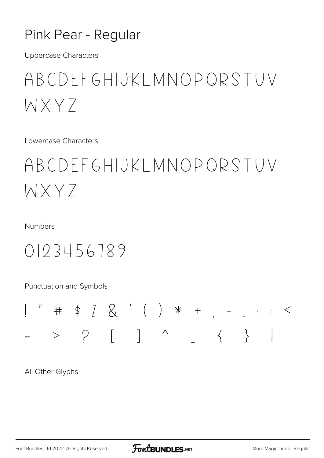#### Pink Pear - Regular

**Uppercase Characters** 

## ABCDEFGHIJKLMNOPQRSTUV WXY7

Lowercase Characters

# ABCDFFGHIJKI MNOPQRSTUV WXY7

Numbers

#### 0123456789

Punctuation and Symbols

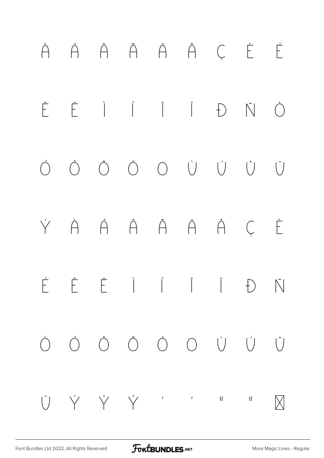

**FoutBUNDLES**.NET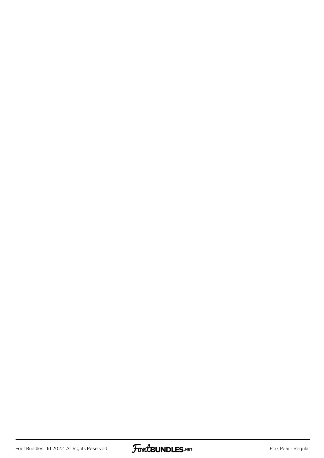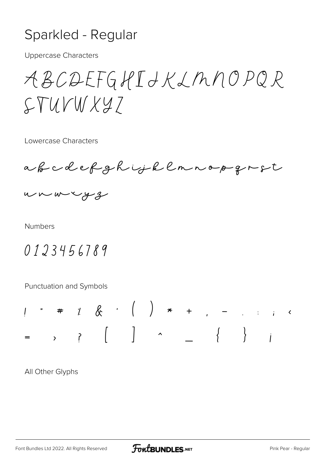#### Sparkled - Regular

**Uppercase Characters** 

ABCDEFGHIJKLMNOPQR  $STUVWXZZ$ 

Lowercase Characters

abcdefghijklmnopgrst

 $u \sim w \sim y - 3$ 

**Numbers** 

0123456789

Punctuation and Symbols

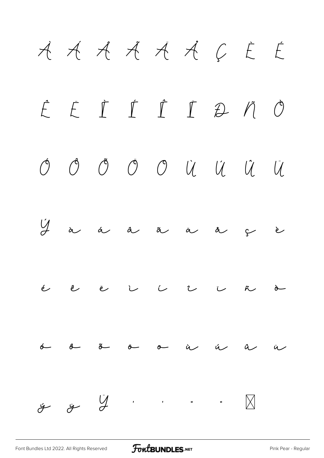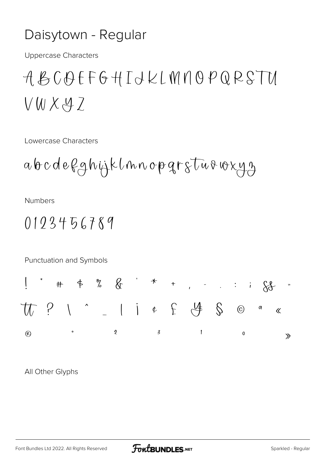#### Daisytown - Regular

**Uppercase Characters** 

## ABCOEFGHIJKLMNOPQRSTU VWXYZ

Lowercase Characters

**Numbers** 

#### $0123456789$

Punctuation and Symbols

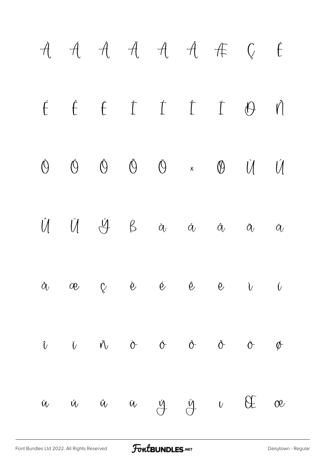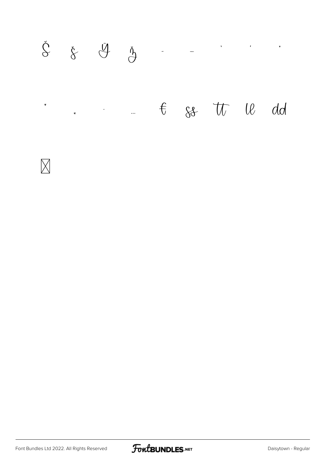# $\check{S} \quad \ \ \check{S} \quad \ \ \check{\mathcal{G}} \quad \ \ \check{\mathfrak{H}}$  $\label{eq:2.1} \frac{1}{\pi} \left( \frac{1}{\pi} \right)^2 \left( \frac{1}{\pi} \right)^2 \left( \frac{1}{\pi} \right)^2 \left( \frac{1}{\pi} \right)^2 \left( \frac{1}{\pi} \right)^2 \left( \frac{1}{\pi} \right)^2 \left( \frac{1}{\pi} \right)^2 \left( \frac{1}{\pi} \right)^2 \left( \frac{1}{\pi} \right)^2 \left( \frac{1}{\pi} \right)^2 \left( \frac{1}{\pi} \right)^2 \left( \frac{1}{\pi} \right)^2 \left( \frac{1}{\pi} \right)^2 \left( \frac{1}{$  $\epsilon$   $\epsilon$   $\delta$   $\pi$   $\ell$   $\delta$  $\hat{\mathbf{v}}$



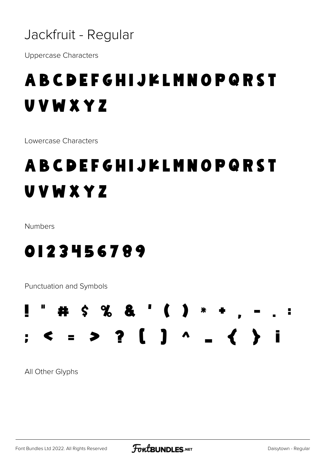

**Uppercase Characters** 

## ABCDEFGHIJKLMNOPQRST **UVWXYZ**

Lowercase Characters

## ABCDEFGHIJKLMNOPQRST **UVWXYZ**

Numbers

0123456789

Punctuation and Symbols

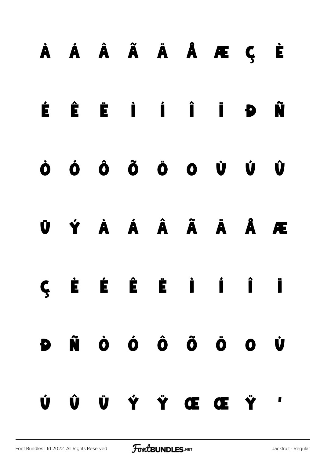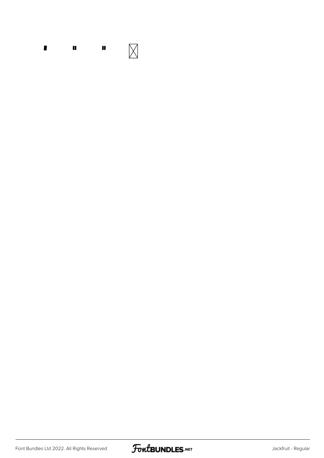| Г |  |  | $\boxtimes$ |
|---|--|--|-------------|
|---|--|--|-------------|

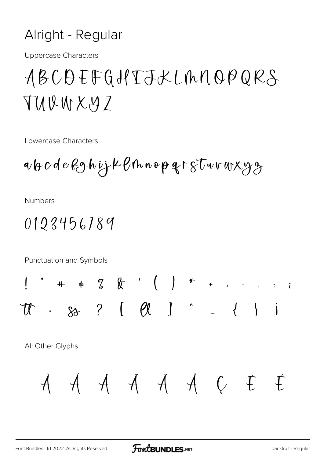#### Alright - Regular

**Uppercase Characters** 

# ABCOEFGHIJKLINOPQRS TUUWXYZ

Lowercase Characters

abcdeRghijKQMnopqr8Turarxy3

**Numbers** 

#### 0123456789

Punctuation and Symbols

$$
A \quad A \quad A \quad A \quad A \quad A \quad C \quad \dot{E} \quad E
$$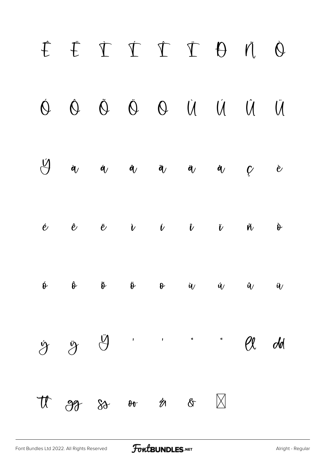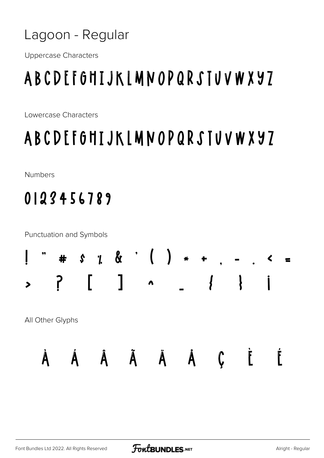#### Lagoon - Regular

**Uppercase Characters** 

## ABCDEFGHIJKLMNOPQRSTUVWXY7

Lowercase Characters

## ABCDEFGHIJKLMNOPQRSIUVWXYZ

**Numbers** 

#### 0123456789

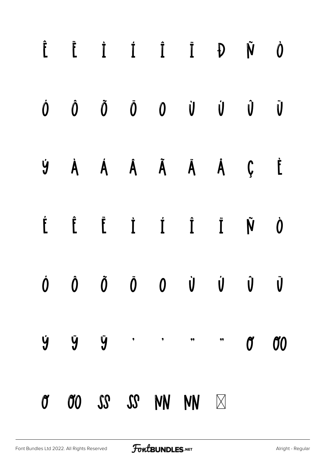|   | $\hat{E} \qquad \ddot{E} \qquad \dot{I} \qquad \dot{I} \qquad \ddot{I} \qquad \dot{I} \qquad \dot{I} \qquad \dot{I} \qquad \dot{O}$                                                                                                                                                                                                                                                    |   |                             |                                         |           |             |   |    |
|---|----------------------------------------------------------------------------------------------------------------------------------------------------------------------------------------------------------------------------------------------------------------------------------------------------------------------------------------------------------------------------------------|---|-----------------------------|-----------------------------------------|-----------|-------------|---|----|
|   | $\begin{matrix} \dot{0} & \hat{0} & \hat{0} & \hat{0} & \hat{0} & \hat{0} & \hat{0} & \hat{0} & \hat{0} & \hat{0} & \hat{0} & \hat{0} & \hat{0} & \hat{0} & \hat{0} & \hat{0} & \hat{0} & \hat{0} & \hat{0} & \hat{0} & \hat{0} & \hat{0} & \hat{0} & \hat{0} & \hat{0} & \hat{0} & \hat{0} & \hat{0} & \hat{0} & \hat{0} & \hat{0} & \hat{0} & \hat{0} & \hat{0} & \hat{0} & \hat{0}$ |   |                             |                                         |           |             |   |    |
|   | Ý À Á Â Ã Ã Ả Ç Ė                                                                                                                                                                                                                                                                                                                                                                      |   |                             |                                         |           |             |   |    |
|   | É Ë Ë İ İ İ Ñ Ò                                                                                                                                                                                                                                                                                                                                                                        |   |                             |                                         |           |             |   |    |
|   | $\begin{matrix} \dot{0} & \hat{0} & \hat{0} & \hat{0} & \hat{0} & \hat{0} & \hat{0} & \hat{0} & \hat{0} & \hat{0} & \hat{0} & \hat{0} & \hat{0} & \hat{0} & \hat{0} & \hat{0} & \hat{0} & \hat{0} & \hat{0} & \hat{0} & \hat{0} & \hat{0} & \hat{0} & \hat{0} & \hat{0} & \hat{0} & \hat{0} & \hat{0} & \hat{0} & \hat{0} & \hat{0} & \hat{0} & \hat{0} & \hat{0} & \hat{0} & \hat{0}$ |   |                             |                                         |           |             |   |    |
| Ý | ÿ                                                                                                                                                                                                                                                                                                                                                                                      | ÿ |                             | $\bullet$ $\bullet$ $\bullet$ $\bullet$ |           |             | Ő | 00 |
| Ű | 00                                                                                                                                                                                                                                                                                                                                                                                     |   | $\mathcal{L}$ $\mathcal{L}$ | <b>NN</b>                               | <b>NN</b> | $\boxtimes$ |   |    |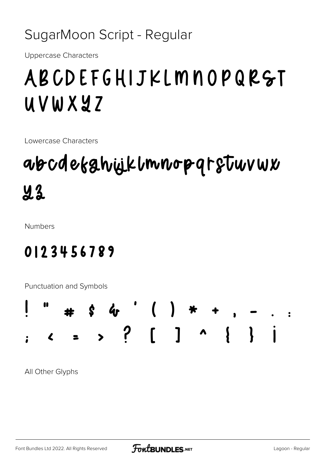#### SugarMoon Script - Regular

**Uppercase Characters** 

# ABCDEFGHIJKLMNOPQRST UVWXYZ

Lowercase Characters

# abcdefahüklmnopqr&tuvwx <u>y2</u>

**Numbers** 

#### 0123456789

Punctuation and Symbols

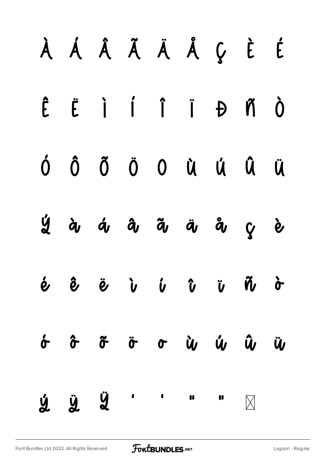#### À Á Â Ã Ã Å Ç È É i í î ï  $\hat{E}$  $\ddot{E}$ Đ Ñ Ò  $\dot{0}$ ÔÕÖÕŬÚÛ Ü  $\dot{y}$  à á â ã ä å  $\bm{Q}$  è  $\hat{v}$   $\hat{v}$   $\hat{v}$  $\tilde{\mathbf{w}}$  $\boldsymbol{\acute{\varrho}}$  $\dot{\sigma}$  $\hat{\mathbf{e}}$ **Exercise**  $\ddot{\mathbf{U}}$ o ù ú û  $\pmb{\dot{\sigma}}$  $\hat{\sigma}$  $\ddot{\sigma}$  $\boldsymbol{\tilde{\sigma}}$ Ü **Light**  $\ddot{\mathbf{y}}$  $\mathbf{\acute{y}}$  $\bullet$  $\bullet$  $\bullet$  $\blacksquare$  $\boxtimes$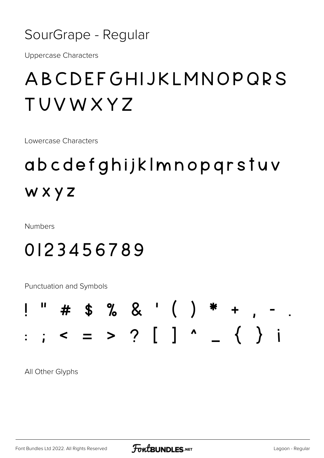

**Uppercase Characters** 

## ABCDEFGHIJKLMNOPQRS TUVWXYZ

Lowercase Characters

# abcdefghijklmnopgrstuv **WXYZ**

**Numbers** 

#### 0123456789

Punctuation and Symbols

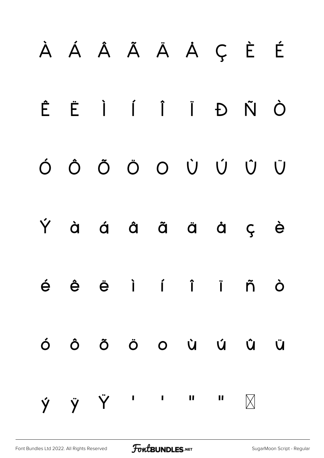## À Á Â Ã Ä À À Ç È É Ë I Í Ï Đ Ñ Ò Ê Ó Ô Õ Ö O Ù Ú Ü Ü Ý à á å ã ä à ç è ê ë i í ï ñ é Ò  $\acute{o}$ ÔÕÖOÙÚÛ ن<br>آ ý ÿ Ÿ  $\sim 100$  $\mathbf{I}$  ,  $\mathbf{I}$  $\blacksquare$  $\blacksquare$  $\boxtimes$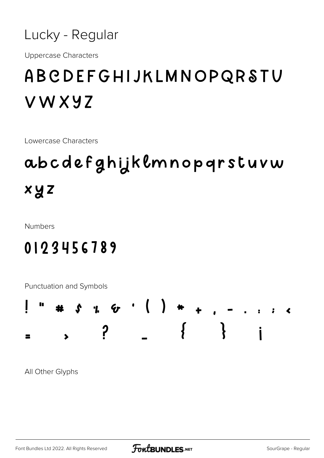Lucky - Regular

**Uppercase Characters** 

### ABCDEFGHIJKLMNOPQRSTU VWXYZ

Lowercase Characters

# abcdefghijklmnopqrstuvw  $x \cancel{y}$ z

**Numbers** 

#### 0123456789

Punctuation and Symbols

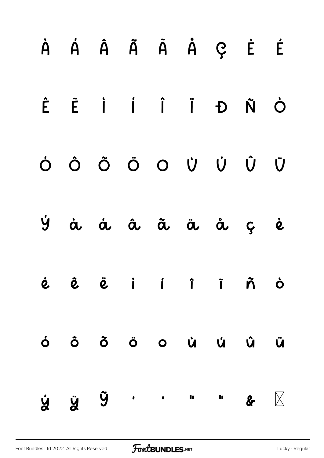|  |  | À Á Â Ã Ã Ả Ç Ė É                                                                          |  |  |
|--|--|--------------------------------------------------------------------------------------------|--|--|
|  |  | Ê Ë İ İ Ï Ï Đ Ñ Ò                                                                          |  |  |
|  |  | Ó Ô Õ Õ Õ Ù Ú Ũ Ö                                                                          |  |  |
|  |  | Ýà á â ã ã å ç è                                                                           |  |  |
|  |  | é ê ë i i î ï ñ ò                                                                          |  |  |
|  |  | Ú N N N Ö Ö Ö Ö                                                                            |  |  |
|  |  | $\dot{y} \quad \ddot{y} \quad \ddot{y} \quad \cdots \quad \cdots \quad \& \quad \boxtimes$ |  |  |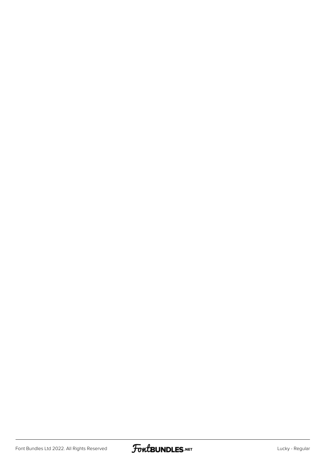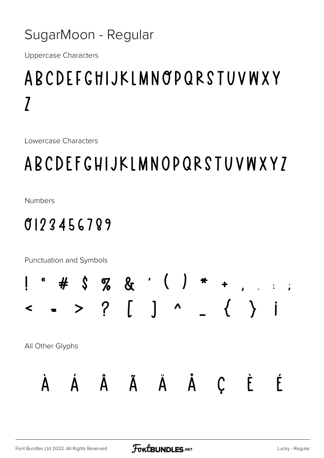#### SugarMoon - Regular

**Uppercase Characters** 

# ABCDEFGHIJKLMNOPQRSTUVWXY  $\overline{l}$

Lowercase Characters

## **ABCDEFGHIJKLMNOPQRSTUVWXYZ**

**Numbers** 

#### 0123456789

Punctuation and Symbols # \$ % & ' ( ) \* +  $>$  ? [ ] ^  $\left\{ \right.$  $\rightarrow$  $\blacksquare$  $\overline{\textbf{C}}$ All Other Glyphs Á Â Ã Ä Å Ĉ É È  $\overline{\mathsf{A}}$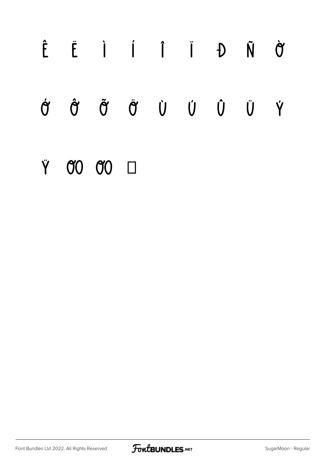# Ê Ë İ Í Î Ï Đ Ñ Ở Ó Ô Õ Ö Ù Ú Û Ü Ý

#### Ÿ 00 00 □

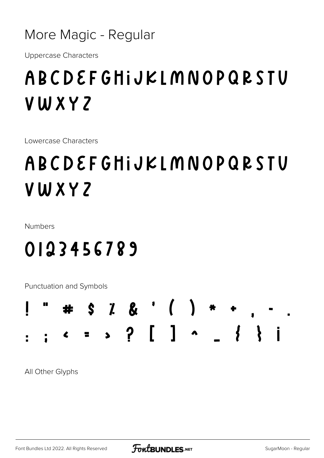

**Uppercase Characters** 

# ABCDEFGHIJKLMNOPQRSTU VWXYZ

Lowercase Characters

# ABCDEFGHIJKLMNOPQRSTU VWXYZ

**Numbers** 

## 0123456789

Punctuation and Symbols

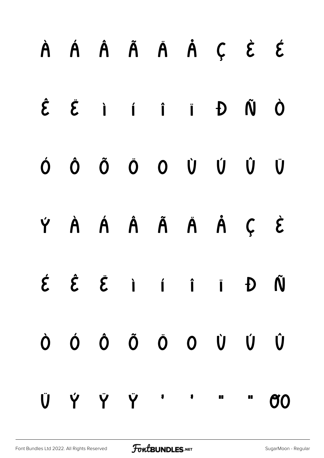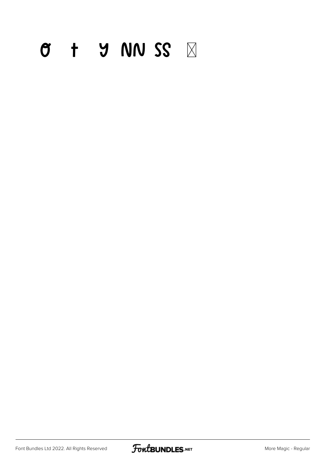#### $\sigma$  t y NN SS  $\boxtimes$

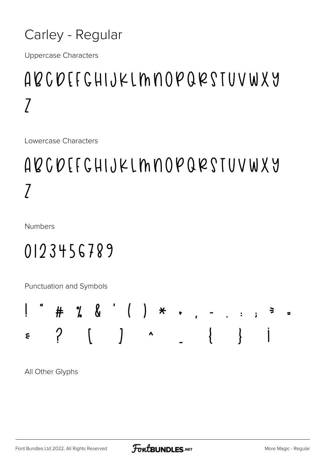#### Carley - Regular

**Uppercase Characters** 

# AQCDEFCHIJKLMNOPQRSTUVWXY  $\overline{I}$

Lowercase Characters

# AQCDEFCHIJKLMNOPQRSTUVWXY  $\overline{I}$

**Numbers** 

# 0123456789

Punctuation and Symbols

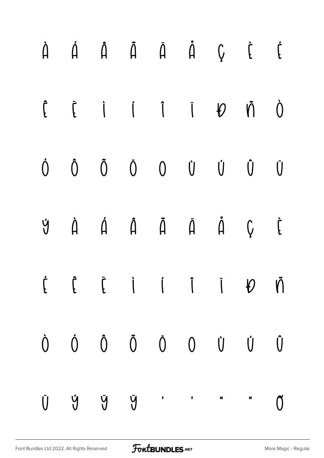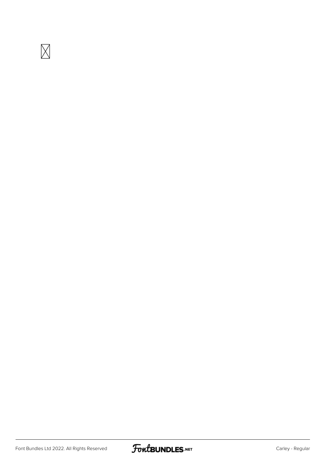

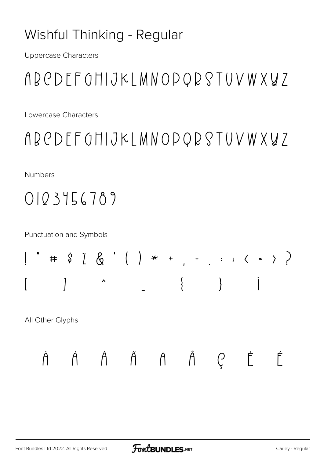#### Wishful Thinking - Regular

**Uppercase Characters** 

ABCDEFOHIJKLMNODQRSTUVWXYZ

Lowercase Characters

ABCDEFOHIJKLMNODQRSTUVWXYZ

**Numbers** 

#### $0103156709$

**Punctuation and Symbols** 

 $\# \ \ \, \hat{\diamond} \ \ \, \hat{ } \ \ \, \hat{\diamond} \ \ \, \hat{ } \ \ \, ( \ \ ) \ \ \, \star \ \ \, , \ \ \, - \ \ \, . \ \ \, : \ \ \, \, \cdot \ \ \, < \ \ \, \, \cdot \ \ \, \, \, \, \rangle$  $\overline{\phantom{a}}$  $\left\{ \right\}$  $\{$  $\lambda$ All Other Glyphs  $\dot{A}$   $\dot{A}$   $\ddot{A}$   $\ddot{A}$   $\dot{C}$   $\dot{C}$  $\mathsf{f}$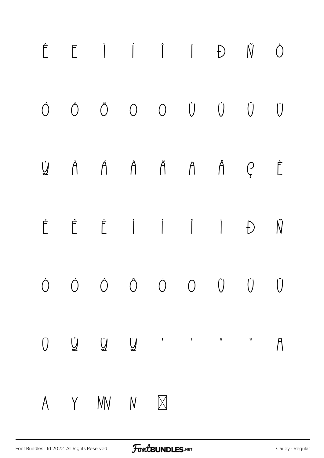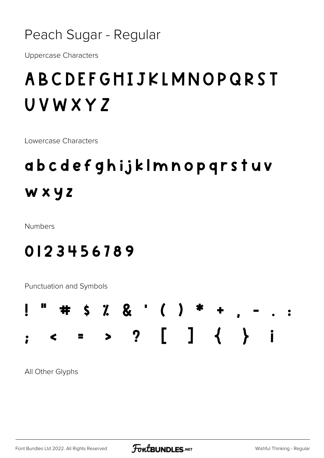

**Uppercase Characters** 

## ABCDEFGHIJKLMNOPQRST UVWXYZ

Lowercase Characters

## abcdefghijklmnopqrstuv wxyz

**Numbers** 

#### 0123456789

Punctuation and Symbols

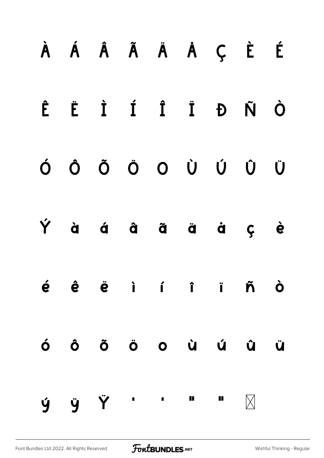|  |                                                               |  | À Á Â Ã Ä À Ç È É |  |
|--|---------------------------------------------------------------|--|-------------------|--|
|  |                                                               |  | Ê Ë İ Í Î Ï Đ Ñ Ò |  |
|  |                                                               |  | Ó Ô Õ Ö O Ù Ú Û Ü |  |
|  |                                                               |  | Ýà á â ã ä à ç è  |  |
|  |                                                               |  | é ê ë i í î ï ñ ò |  |
|  |                                                               |  | Ó Ô Õ Ö O Ù Ú Û Ü |  |
|  | $\dot{y}$ $\ddot{y}$ $\ddot{Y}$ $\cdots$ $\cdots$ $\boxtimes$ |  |                   |  |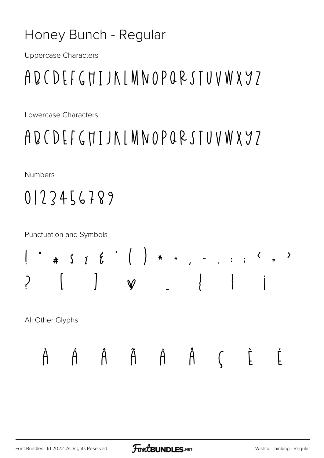#### Honey Bunch - Regular

**Uppercase Characters** 

### A D C D E F G H I J K L M N O P Q R S T U V W X Y Z

Lowercase Characters

#### ADCDEFGHIJKLMNOPQRSTUVWXYZ

**Numbers** 

## 0123456789

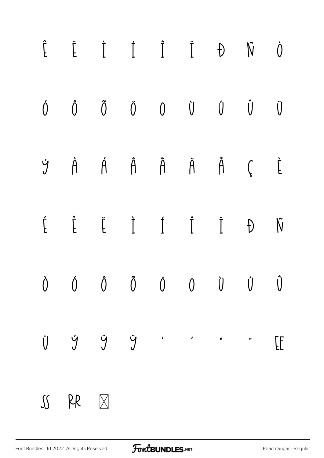|                     | $\begin{array}{ccccccccccccccccc} \hat{L} & \hat{L} & \hat{L} & \hat{I} & \hat{I} & \hat{I} & \hat{I} & \hat{I} & \hat{N} & \hat{0} \end{array}$ |  |  |             |   |
|---------------------|--------------------------------------------------------------------------------------------------------------------------------------------------|--|--|-------------|---|
|                     | $\begin{matrix} \hat{0} & \hat{0} & \hat{0} & \hat{0} & 0 & \hat{0} & \hat{0} & \hat{0} & \hat{0} & \end{matrix}$                                |  |  |             |   |
|                     | Ý À Á Â Ã Ã Ả ( È                                                                                                                                |  |  |             |   |
|                     | $\begin{array}{ccccccccccccccccc} \acute{L} & \hat{L} & \hat{L} & \dot{I} & \dot{I} & \dot{I} & \dot{I} & \dot{N} \end{array}$                   |  |  |             |   |
|                     | $\begin{matrix} \dot{0} & \dot{0} & \dot{0} & \ddot{0} & \ddot{0} & 0 & \dot{0} & \dot{0} & \dot{0} \end{matrix}$                                |  |  |             |   |
| $\ddot{\mathbf{U}}$ | $\acute{y}$                                                                                                                                      |  |  | Ÿ Ÿ ' ' " " | E |
|                     | $JS$ RR $\boxtimes$                                                                                                                              |  |  |             |   |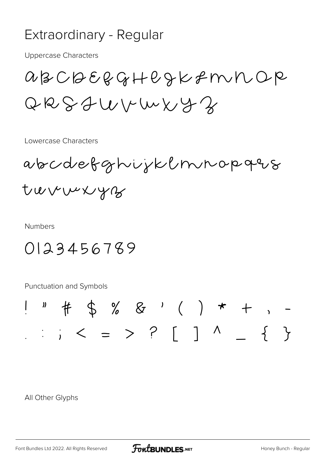#### Extraordinary - Regular

**Uppercase Characters** 

 $Q$ BCQEQGHegKfmhOP QRSJUVUXYZ

Lowercase Characters

abcdefghujklmnopqer tuvuxyz

**Numbers** 

#### 0123456789

Punctuation and Symbols

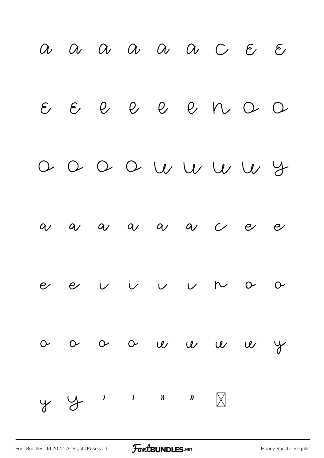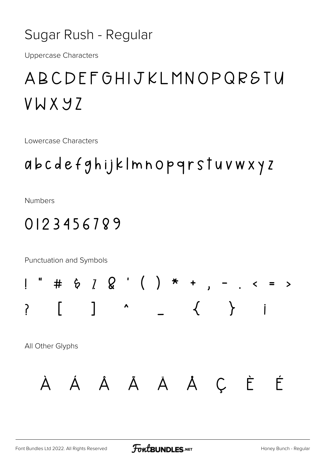#### Sugar Rush - Regular

**Uppercase Characters** 

## ABCDEFGHIJKLMNOPQRSTU VWXYZ

Lowercase Characters

#### abcdefghijklmnopqrstuvwxyz

**Numbers** 

#### 0123456789

Punctuation and Symbols